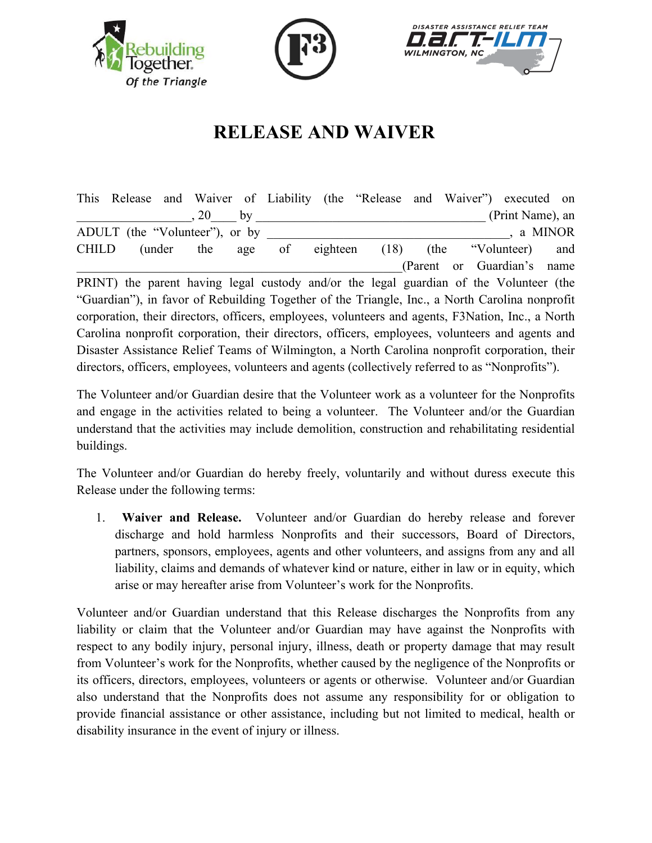





## **RELEASE AND WAIVER**

This Release and Waiver of Liability (the "Release and Waiver") executed on  $(20 \text{ by } (9.2)$ ADULT (the "Volunteer"), or by  $\Box$ , a MINOR CHILD (under the age of eighteen (18) (the "Volunteer) and (Parent or Guardian's name PRINT) the parent having legal custody and/or the legal guardian of the Volunteer (the "Guardian"), in favor of Rebuilding Together of the Triangle, Inc., a North Carolina nonprofit corporation, their directors, officers, employees, volunteers and agents, F3Nation, Inc., a North Carolina nonprofit corporation, their directors, officers, employees, volunteers and agents and Disaster Assistance Relief Teams of Wilmington, a North Carolina nonprofit corporation, their directors, officers, employees, volunteers and agents (collectively referred to as "Nonprofits").

The Volunteer and/or Guardian desire that the Volunteer work as a volunteer for the Nonprofits and engage in the activities related to being a volunteer. The Volunteer and/or the Guardian understand that the activities may include demolition, construction and rehabilitating residential buildings.

The Volunteer and/or Guardian do hereby freely, voluntarily and without duress execute this Release under the following terms:

1. **Waiver and Release.** Volunteer and/or Guardian do hereby release and forever discharge and hold harmless Nonprofits and their successors, Board of Directors, partners, sponsors, employees, agents and other volunteers, and assigns from any and all liability, claims and demands of whatever kind or nature, either in law or in equity, which arise or may hereafter arise from Volunteer's work for the Nonprofits.

Volunteer and/or Guardian understand that this Release discharges the Nonprofits from any liability or claim that the Volunteer and/or Guardian may have against the Nonprofits with respect to any bodily injury, personal injury, illness, death or property damage that may result from Volunteer's work for the Nonprofits, whether caused by the negligence of the Nonprofits or its officers, directors, employees, volunteers or agents or otherwise. Volunteer and/or Guardian also understand that the Nonprofits does not assume any responsibility for or obligation to provide financial assistance or other assistance, including but not limited to medical, health or disability insurance in the event of injury or illness.